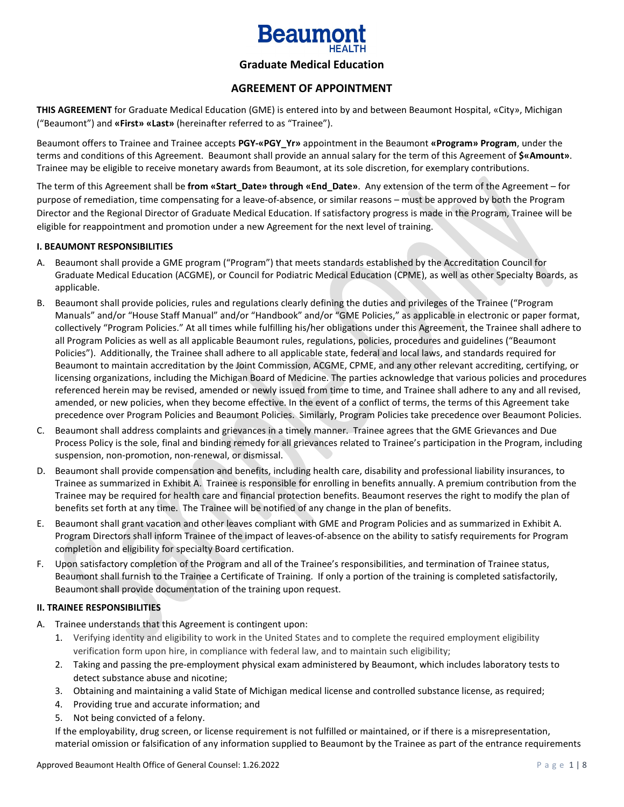

## **Graduate Medical Education**

## **AGREEMENT OF APPOINTMENT**

**THIS AGREEMENT** for Graduate Medical Education (GME) is entered into by and between Beaumont Hospital, «City», Michigan ("Beaumont") and **«First» «Last»** (hereinafter referred to as "Trainee").

Beaumont offers to Trainee and Trainee accepts **PGY-«PGY\_Yr»** appointment in the Beaumont **«Program» Program**, under the terms and conditions of this Agreement. Beaumont shall provide an annual salary for the term of this Agreement of **\$«Amount»**. Trainee may be eligible to receive monetary awards from Beaumont, at its sole discretion, for exemplary contributions.

The term of this Agreement shall be **from «Start\_Date» through «End\_Date»**. Any extension of the term of the Agreement – for purpose of remediation, time compensating for a leave-of-absence, or similar reasons – must be approved by both the Program Director and the Regional Director of Graduate Medical Education. If satisfactory progress is made in the Program, Trainee will be eligible for reappointment and promotion under a new Agreement for the next level of training.

#### **I. BEAUMONT RESPONSIBILITIES**

- A. Beaumont shall provide a GME program ("Program") that meets standards established by the Accreditation Council for Graduate Medical Education (ACGME), or Council for Podiatric Medical Education (CPME), as well as other Specialty Boards, as applicable.
- B. Beaumont shall provide policies, rules and regulations clearly defining the duties and privileges of the Trainee ("Program Manuals" and/or "House Staff Manual" and/or "Handbook" and/or "GME Policies," as applicable in electronic or paper format, collectively "Program Policies." At all times while fulfilling his/her obligations under this Agreement, the Trainee shall adhere to all Program Policies as well as all applicable Beaumont rules, regulations, policies, procedures and guidelines ("Beaumont Policies"). Additionally, the Trainee shall adhere to all applicable state, federal and local laws, and standards required for Beaumont to maintain accreditation by the Joint Commission, ACGME, CPME, and any other relevant accrediting, certifying, or licensing organizations, including the Michigan Board of Medicine. The parties acknowledge that various policies and procedures referenced herein may be revised, amended or newly issued from time to time, and Trainee shall adhere to any and all revised, amended, or new policies, when they become effective. In the event of a conflict of terms, the terms of this Agreement take precedence over Program Policies and Beaumont Policies. Similarly, Program Policies take precedence over Beaumont Policies.
- C. Beaumont shall address complaints and grievances in a timely manner. Trainee agrees that the GME Grievances and Due Process Policy is the sole, final and binding remedy for all grievances related to Trainee's participation in the Program, including suspension, non-promotion, non-renewal, or dismissal.
- D. Beaumont shall provide compensation and benefits, including health care, disability and professional liability insurances, to Trainee as summarized in Exhibit A. Trainee is responsible for enrolling in benefits annually. A premium contribution from the Trainee may be required for health care and financial protection benefits. Beaumont reserves the right to modify the plan of benefits set forth at any time. The Trainee will be notified of any change in the plan of benefits.
- E. Beaumont shall grant vacation and other leaves compliant with GME and Program Policies and as summarized in Exhibit A. Program Directors shall inform Trainee of the impact of leaves-of-absence on the ability to satisfy requirements for Program completion and eligibility for specialty Board certification.
- F. Upon satisfactory completion of the Program and all of the Trainee's responsibilities, and termination of Trainee status, Beaumont shall furnish to the Trainee a Certificate of Training. If only a portion of the training is completed satisfactorily, Beaumont shall provide documentation of the training upon request.

## **II. TRAINEE RESPONSIBILITIES**

- A. Trainee understands that this Agreement is contingent upon:
	- 1. Verifying identity and eligibility to work in the United States and to complete the required employment eligibility verification form upon hire, in compliance with federal law, and to maintain such eligibility;
	- 2. Taking and passing the pre-employment physical exam administered by Beaumont, which includes laboratory tests to detect substance abuse and nicotine;
	- 3. Obtaining and maintaining a valid State of Michigan medical license and controlled substance license, as required;
	- 4. Providing true and accurate information; and
	- 5. Not being convicted of a felony.

If the employability, drug screen, or license requirement is not fulfilled or maintained, or if there is a misrepresentation, material omission or falsification of any information supplied to Beaumont by the Trainee as part of the entrance requirements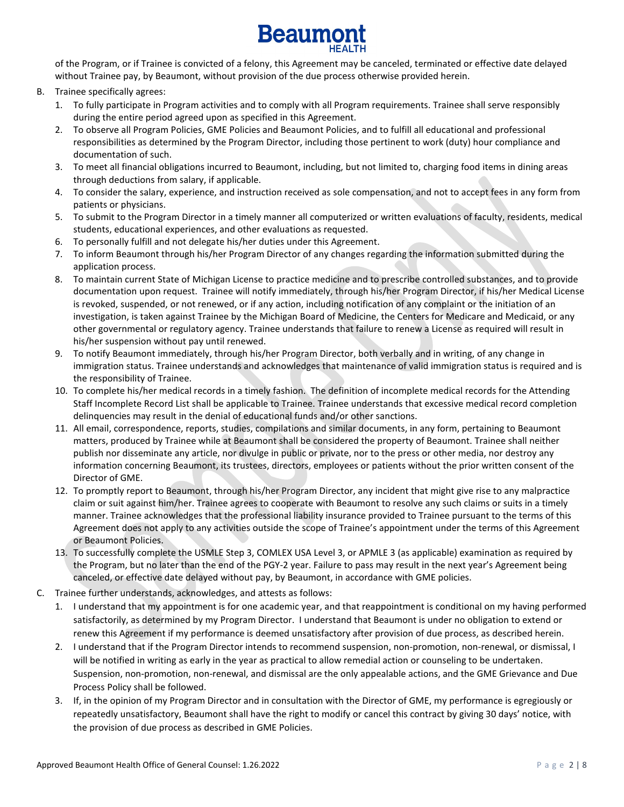

of the Program, or if Trainee is convicted of a felony, this Agreement may be canceled, terminated or effective date delayed without Trainee pay, by Beaumont, without provision of the due process otherwise provided herein.

- B. Trainee specifically agrees:
	- 1. To fully participate in Program activities and to comply with all Program requirements. Trainee shall serve responsibly during the entire period agreed upon as specified in this Agreement.
	- 2. To observe all Program Policies, GME Policies and Beaumont Policies, and to fulfill all educational and professional responsibilities as determined by the Program Director, including those pertinent to work (duty) hour compliance and documentation of such.
	- 3. To meet all financial obligations incurred to Beaumont, including, but not limited to, charging food items in dining areas through deductions from salary, if applicable.
	- 4. To consider the salary, experience, and instruction received as sole compensation, and not to accept fees in any form from patients or physicians.
	- 5. To submit to the Program Director in a timely manner all computerized or written evaluations of faculty, residents, medical students, educational experiences, and other evaluations as requested.
	- 6. To personally fulfill and not delegate his/her duties under this Agreement.
	- 7. To inform Beaumont through his/her Program Director of any changes regarding the information submitted during the application process.
	- 8. To maintain current State of Michigan License to practice medicine and to prescribe controlled substances, and to provide documentation upon request. Trainee will notify immediately, through his/her Program Director, if his/her Medical License is revoked, suspended, or not renewed, or if any action, including notification of any complaint or the initiation of an investigation, is taken against Trainee by the Michigan Board of Medicine, the Centers for Medicare and Medicaid, or any other governmental or regulatory agency. Trainee understands that failure to renew a License as required will result in his/her suspension without pay until renewed.
	- 9. To notify Beaumont immediately, through his/her Program Director, both verbally and in writing, of any change in immigration status. Trainee understands and acknowledges that maintenance of valid immigration status is required and is the responsibility of Trainee.
	- 10. To complete his/her medical records in a timely fashion. The definition of incomplete medical records for the Attending Staff Incomplete Record List shall be applicable to Trainee. Trainee understands that excessive medical record completion delinquencies may result in the denial of educational funds and/or other sanctions.
	- 11. All email, correspondence, reports, studies, compilations and similar documents, in any form, pertaining to Beaumont matters, produced by Trainee while at Beaumont shall be considered the property of Beaumont. Trainee shall neither publish nor disseminate any article, nor divulge in public or private, nor to the press or other media, nor destroy any information concerning Beaumont, its trustees, directors, employees or patients without the prior written consent of the Director of GME.
	- 12. To promptly report to Beaumont, through his/her Program Director, any incident that might give rise to any malpractice claim or suit against him/her. Trainee agrees to cooperate with Beaumont to resolve any such claims or suits in a timely manner. Trainee acknowledges that the professional liability insurance provided to Trainee pursuant to the terms of this Agreement does not apply to any activities outside the scope of Trainee's appointment under the terms of this Agreement or Beaumont Policies.
	- 13. To successfully complete the USMLE Step 3, COMLEX USA Level 3, or APMLE 3 (as applicable) examination as required by the Program, but no later than the end of the PGY-2 year. Failure to pass may result in the next year's Agreement being canceled, or effective date delayed without pay, by Beaumont, in accordance with GME policies.
- C. Trainee further understands, acknowledges, and attests as follows:
	- 1. I understand that my appointment is for one academic year, and that reappointment is conditional on my having performed satisfactorily, as determined by my Program Director. I understand that Beaumont is under no obligation to extend or renew this Agreement if my performance is deemed unsatisfactory after provision of due process, as described herein.
	- 2. I understand that if the Program Director intends to recommend suspension, non-promotion, non-renewal, or dismissal, I will be notified in writing as early in the year as practical to allow remedial action or counseling to be undertaken. Suspension, non-promotion, non-renewal, and dismissal are the only appealable actions, and the GME Grievance and Due Process Policy shall be followed.
	- 3. If, in the opinion of my Program Director and in consultation with the Director of GME, my performance is egregiously or repeatedly unsatisfactory, Beaumont shall have the right to modify or cancel this contract by giving 30 days' notice, with the provision of due process as described in GME Policies.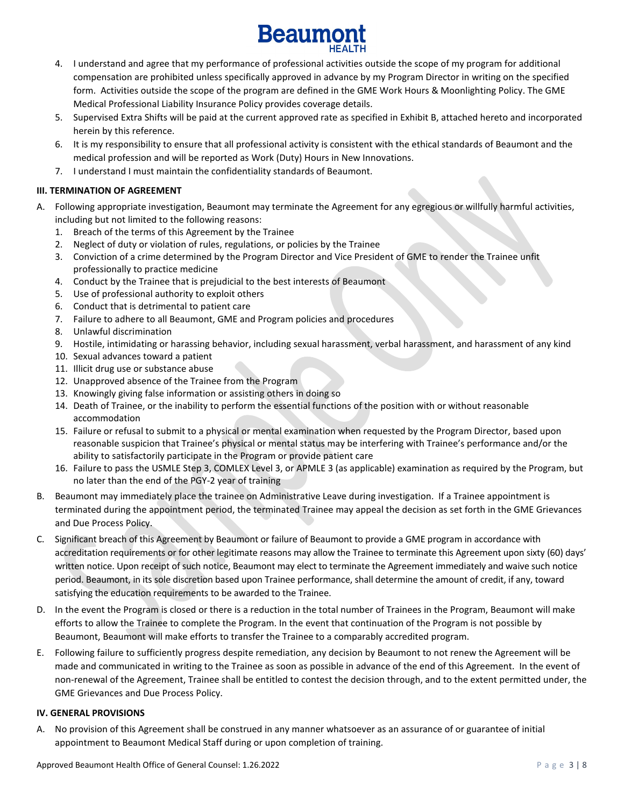

- 4. I understand and agree that my performance of professional activities outside the scope of my program for additional compensation are prohibited unless specifically approved in advance by my Program Director in writing on the specified form. Activities outside the scope of the program are defined in the GME Work Hours & Moonlighting Policy. The GME Medical Professional Liability Insurance Policy provides coverage details.
- 5. Supervised Extra Shifts will be paid at the current approved rate as specified in Exhibit B, attached hereto and incorporated herein by this reference.
- 6. It is my responsibility to ensure that all professional activity is consistent with the ethical standards of Beaumont and the medical profession and will be reported as Work (Duty) Hours in New Innovations.
- 7. I understand I must maintain the confidentiality standards of Beaumont.

## **III. TERMINATION OF AGREEMENT**

- A. Following appropriate investigation, Beaumont may terminate the Agreement for any egregious or willfully harmful activities, including but not limited to the following reasons:
	- 1. Breach of the terms of this Agreement by the Trainee
	- 2. Neglect of duty or violation of rules, regulations, or policies by the Trainee
	- 3. Conviction of a crime determined by the Program Director and Vice President of GME to render the Trainee unfit professionally to practice medicine
	- 4. Conduct by the Trainee that is prejudicial to the best interests of Beaumont
	- 5. Use of professional authority to exploit others
	- 6. Conduct that is detrimental to patient care
	- 7. Failure to adhere to all Beaumont, GME and Program policies and procedures
	- 8. Unlawful discrimination
	- 9. Hostile, intimidating or harassing behavior, including sexual harassment, verbal harassment, and harassment of any kind
	- 10. Sexual advances toward a patient
	- 11. Illicit drug use or substance abuse
	- 12. Unapproved absence of the Trainee from the Program
	- 13. Knowingly giving false information or assisting others in doing so
	- 14. Death of Trainee, or the inability to perform the essential functions of the position with or without reasonable accommodation
	- 15. Failure or refusal to submit to a physical or mental examination when requested by the Program Director, based upon reasonable suspicion that Trainee's physical or mental status may be interfering with Trainee's performance and/or the ability to satisfactorily participate in the Program or provide patient care
	- 16. Failure to pass the USMLE Step 3, COMLEX Level 3, or APMLE 3 (as applicable) examination as required by the Program, but no later than the end of the PGY-2 year of training
- B. Beaumont may immediately place the trainee on Administrative Leave during investigation. If a Trainee appointment is terminated during the appointment period, the terminated Trainee may appeal the decision as set forth in the GME Grievances and Due Process Policy.
- C. Significant breach of this Agreement by Beaumont or failure of Beaumont to provide a GME program in accordance with accreditation requirements or for other legitimate reasons may allow the Trainee to terminate this Agreement upon sixty (60) days' written notice. Upon receipt of such notice, Beaumont may elect to terminate the Agreement immediately and waive such notice period. Beaumont, in its sole discretion based upon Trainee performance, shall determine the amount of credit, if any, toward satisfying the education requirements to be awarded to the Trainee.
- D. In the event the Program is closed or there is a reduction in the total number of Trainees in the Program, Beaumont will make efforts to allow the Trainee to complete the Program. In the event that continuation of the Program is not possible by Beaumont, Beaumont will make efforts to transfer the Trainee to a comparably accredited program.
- E. Following failure to sufficiently progress despite remediation, any decision by Beaumont to not renew the Agreement will be made and communicated in writing to the Trainee as soon as possible in advance of the end of this Agreement. In the event of non-renewal of the Agreement, Trainee shall be entitled to contest the decision through, and to the extent permitted under, the GME Grievances and Due Process Policy.

## **IV. GENERAL PROVISIONS**

A. No provision of this Agreement shall be construed in any manner whatsoever as an assurance of or guarantee of initial appointment to Beaumont Medical Staff during or upon completion of training.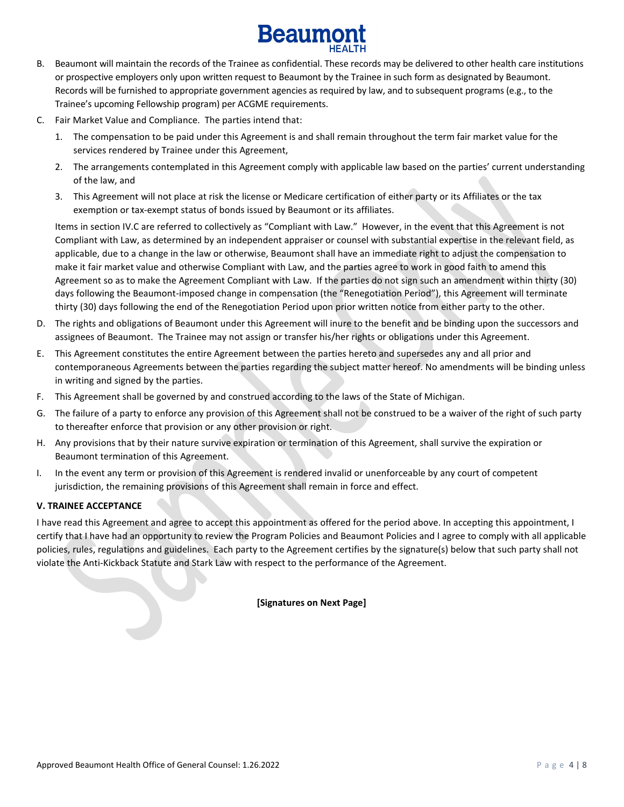# **Beaumo**

- B. Beaumont will maintain the records of the Trainee as confidential. These records may be delivered to other health care institutions or prospective employers only upon written request to Beaumont by the Trainee in such form as designated by Beaumont. Records will be furnished to appropriate government agencies as required by law, and to subsequent programs (e.g., to the Trainee's upcoming Fellowship program) per ACGME requirements.
- C. Fair Market Value and Compliance. The parties intend that:
	- 1. The compensation to be paid under this Agreement is and shall remain throughout the term fair market value for the services rendered by Trainee under this Agreement,
	- 2. The arrangements contemplated in this Agreement comply with applicable law based on the parties' current understanding of the law, and
	- 3. This Agreement will not place at risk the license or Medicare certification of either party or its Affiliates or the tax exemption or tax-exempt status of bonds issued by Beaumont or its affiliates.

Items in section IV.C are referred to collectively as "Compliant with Law." However, in the event that this Agreement is not Compliant with Law, as determined by an independent appraiser or counsel with substantial expertise in the relevant field, as applicable, due to a change in the law or otherwise, Beaumont shall have an immediate right to adjust the compensation to make it fair market value and otherwise Compliant with Law, and the parties agree to work in good faith to amend this Agreement so as to make the Agreement Compliant with Law. If the parties do not sign such an amendment within thirty (30) days following the Beaumont-imposed change in compensation (the "Renegotiation Period"), this Agreement will terminate thirty (30) days following the end of the Renegotiation Period upon prior written notice from either party to the other.

- D. The rights and obligations of Beaumont under this Agreement will inure to the benefit and be binding upon the successors and assignees of Beaumont. The Trainee may not assign or transfer his/her rights or obligations under this Agreement.
- E. This Agreement constitutes the entire Agreement between the parties hereto and supersedes any and all prior and contemporaneous Agreements between the parties regarding the subject matter hereof. No amendments will be binding unless in writing and signed by the parties.
- F. This Agreement shall be governed by and construed according to the laws of the State of Michigan.
- G. The failure of a party to enforce any provision of this Agreement shall not be construed to be a waiver of the right of such party to thereafter enforce that provision or any other provision or right.
- H. Any provisions that by their nature survive expiration or termination of this Agreement, shall survive the expiration or Beaumont termination of this Agreement.
- I. In the event any term or provision of this Agreement is rendered invalid or unenforceable by any court of competent jurisdiction, the remaining provisions of this Agreement shall remain in force and effect.

## **V. TRAINEE ACCEPTANCE**

I have read this Agreement and agree to accept this appointment as offered for the period above. In accepting this appointment, I certify that I have had an opportunity to review the Program Policies and Beaumont Policies and I agree to comply with all applicable policies, rules, regulations and guidelines. Each party to the Agreement certifies by the signature(s) below that such party shall not violate the Anti-Kickback Statute and Stark Law with respect to the performance of the Agreement.

## **[Signatures on Next Page]**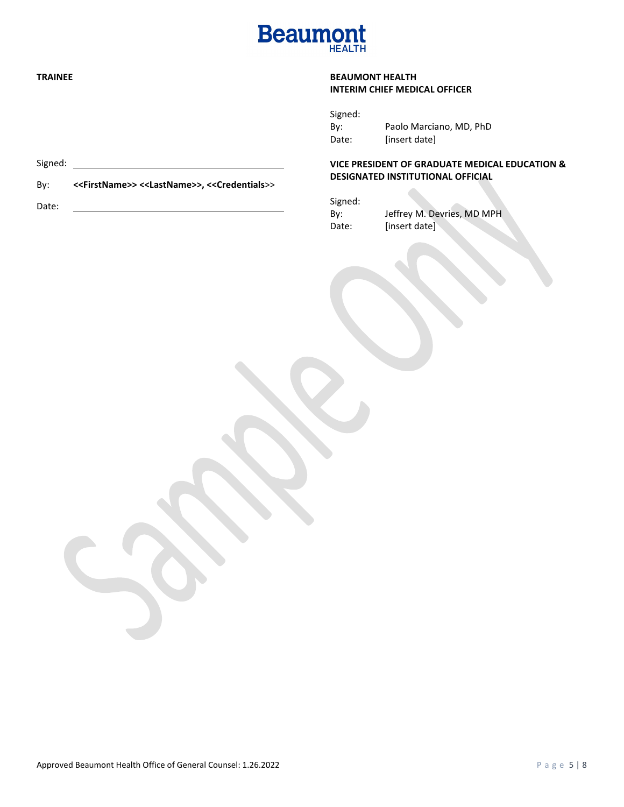

## **TRAINEE**

## **BEAUMONT HEALTH INTERIM CHIEF MEDICAL OFFICER**

Signed: By: Paolo Marciano, MD, PhD Date: [insert date]

## **VICE PRESIDENT OF GRADUATE MEDICAL EDUCATION & DESIGNATED INSTITUTIONAL OFFICIAL**

| Signed: |                            |
|---------|----------------------------|
| Bv:     | Jeffrey M. Devries, MD MPH |
| Date:   | [insert date]              |

 $\overline{\phantom{a}}$ 

Signed:

By: **<<FirstName>> <<LastName>>, <<Credentials**>>

Date: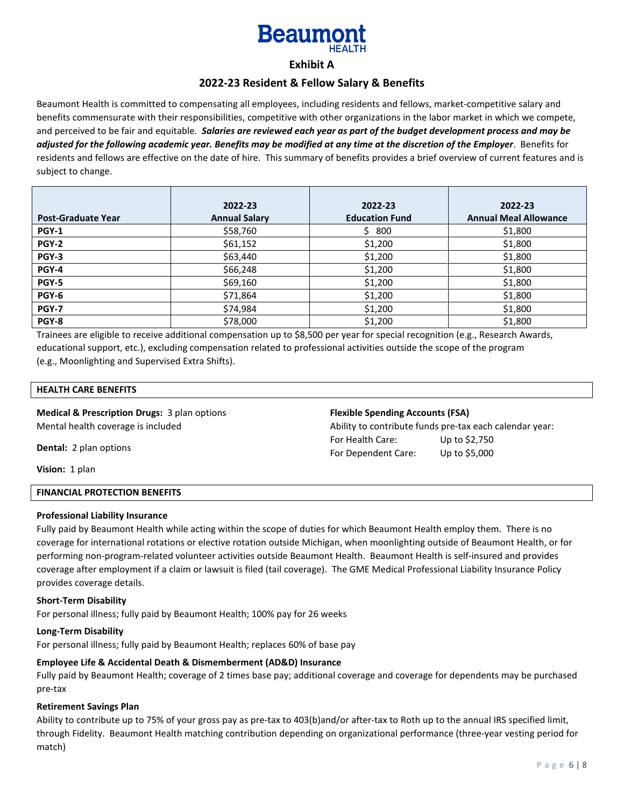## **Beaum**

## **Exhibit A**

## **2022-23 Resident & Fellow Salary & Benefits**

Beaumont Health is committed to compensating all employees, including residents and fellows, market-competitive salary and benefits commensurate with their responsibilities, competitive with other organizations in the labor market in which we compete, and perceived to be fair and equitable*. Salaries are reviewed each year as part of the budget development process and may be adjusted for the following academic year. Benefits may be modified at any time at the discretion of the Employer*. Benefits for residents and fellows are effective on the date of hire. This summary of benefits provides a brief overview of current features and is subject to change.

|                           | 2022-23              | 2022-23               | 2022-23                      |
|---------------------------|----------------------|-----------------------|------------------------------|
| <b>Post-Graduate Year</b> | <b>Annual Salary</b> | <b>Education Fund</b> | <b>Annual Meal Allowance</b> |
|                           |                      |                       |                              |
| <b>PGY-1</b>              | \$58,760             | \$ 800                | \$1,800                      |
| <b>PGY-2</b>              | \$61,152             | \$1,200               | \$1,800                      |
| <b>PGY-3</b>              | \$63,440             | \$1,200               | \$1,800                      |
| <b>PGY-4</b>              | \$66,248             | \$1,200               | \$1,800                      |
| <b>PGY-5</b>              | \$69,160             | \$1,200               | \$1,800                      |
| PGY-6                     | \$71,864             | \$1,200               | \$1,800                      |
| <b>PGY-7</b>              | \$74,984             | \$1,200               | \$1,800                      |
| PGY-8                     | \$78,000             | \$1,200               | \$1,800                      |

Trainees are eligible to receive additional compensation up to \$8,500 per year for special recognition (e.g., Research Awards, educational support, etc.), excluding compensation related to professional activities outside the scope of the program (e.g., Moonlighting and Supervised Extra Shifts).

#### **HEALTH CARE BENEFITS**

**Medical & Prescription Drugs:** 3 plan options Mental health coverage is included

#### **Flexible Spending Accounts (FSA)**

Ability to contribute funds pre-tax each calendar year: For Health Care: Up to \$2,750 For Dependent Care: Up to \$5,000

**Dental:** 2 plan options

**Vision:** 1 plan

#### **FINANCIAL PROTECTION BENEFITS**

#### **Professional Liability Insurance**

Fully paid by Beaumont Health while acting within the scope of duties for which Beaumont Health employ them. There is no coverage for international rotations or elective rotation outside Michigan, when moonlighting outside of Beaumont Health, or for performing non-program-related volunteer activities outside Beaumont Health. Beaumont Health is self-insured and provides coverage after employment if a claim or lawsuit is filed (tail coverage). The GME Medical Professional Liability Insurance Policy provides coverage details.

#### **Short-Term Disability**

For personal illness; fully paid by Beaumont Health; 100% pay for 26 weeks

#### **Long-Term Disability**

For personal illness; fully paid by Beaumont Health; replaces 60% of base pay

## **Employee Life & Accidental Death & Dismemberment (AD&D) Insurance**

Fully paid by Beaumont Health; coverage of 2 times base pay; additional coverage and coverage for dependents may be purchased pre-tax

#### **Retirement Savings Plan**

Ability to contribute up to 75% of your gross pay as pre-tax to 403(b)and/or after-tax to Roth up to the annual IRS specified limit, through Fidelity. Beaumont Health matching contribution depending on organizational performance (three-year vesting period for match)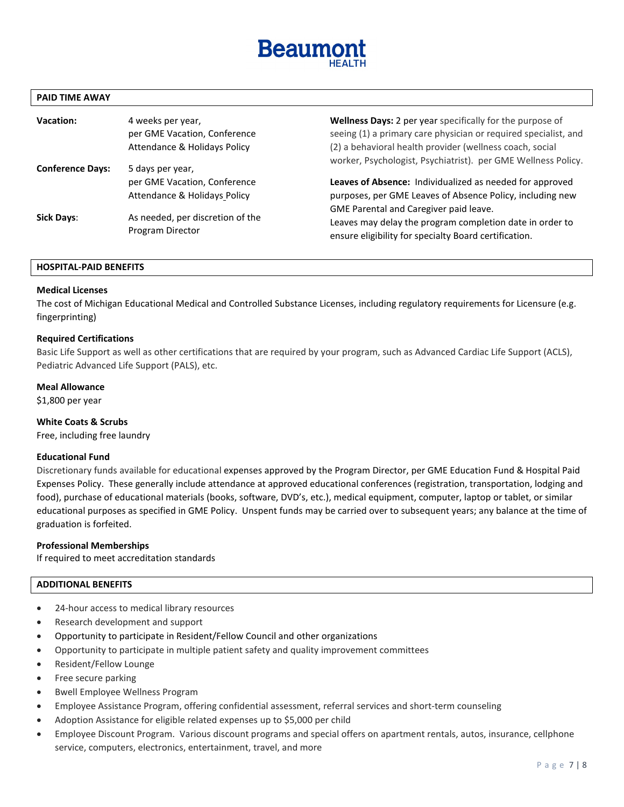

#### **PAID TIME AWAY**

| Vacation:               | 4 weeks per year,<br>per GME Vacation, Conference<br>Attendance & Holidays Policy | Wellness Days: 2 per year specifically for the purpose of<br>seeing (1) a primary care physician or required specialist, and<br>(2) a behavioral health provider (wellness coach, social |
|-------------------------|-----------------------------------------------------------------------------------|------------------------------------------------------------------------------------------------------------------------------------------------------------------------------------------|
| <b>Conference Days:</b> | 5 days per year,<br>per GME Vacation, Conference                                  | worker, Psychologist, Psychiatrist). per GME Wellness Policy.<br>Leaves of Absence: Individualized as needed for approved                                                                |
|                         | Attendance & Holidays Policy                                                      | purposes, per GME Leaves of Absence Policy, including new                                                                                                                                |
| <b>Sick Days:</b>       | As needed, per discretion of the<br>Program Director                              | GME Parental and Caregiver paid leave.<br>Leaves may delay the program completion date in order to<br>ensure eligibility for specialty Board certification.                              |

#### **HOSPITAL-PAID BENEFITS**

#### **Medical Licenses**

The cost of Michigan Educational Medical and Controlled Substance Licenses, including regulatory requirements for Licensure (e.g. fingerprinting)

#### **Required Certifications**

Basic Life Support as well as other certifications that are required by your program, such as Advanced Cardiac Life Support (ACLS), Pediatric Advanced Life Support (PALS), etc.

#### **Meal Allowance**

\$1,800 per year

#### **White Coats & Scrubs**

Free, including free laundry

#### **Educational Fund**

Discretionary funds available for educational expenses approved by the Program Director, per GME Education Fund [& Hospital Paid](https://beaumont.policystat.com/policy/6276982/latest/?z=eyJpIjogNX0)  [Expenses](https://beaumont.policystat.com/policy/6276982/latest/?z=eyJpIjogNX0) Policy. These generally include attendance at approved educational conferences (registration, transportation, lodging and food), purchase of educational materials (books, software, DVD's, etc.), medical equipment, computer, laptop or tablet, or similar educational purposes as specified in GME Policy. Unspent funds may be carried over to subsequent years; any balance at the time of graduation is forfeited.

#### **Professional Memberships**

If required to meet accreditation standards

#### **ADDITIONAL BENEFITS**

- 24-hour access to medical library resources
- Research development and support
- Opportunity to participate in Resident/Fellow Council and other organizations
- Opportunity to participate in multiple patient safety and quality improvement committees
- Resident/Fellow Lounge
- Free secure parking
- Bwell Employee Wellness Program
- Employee Assistance Program, offering confidential assessment, referral services and short-term counseling
- Adoption Assistance for eligible related expenses up to \$5,000 per child
- Employee Discount Program. Various discount programs and special offers on apartment rentals, autos, insurance, cellphone service, computers, electronics, entertainment, travel, and more